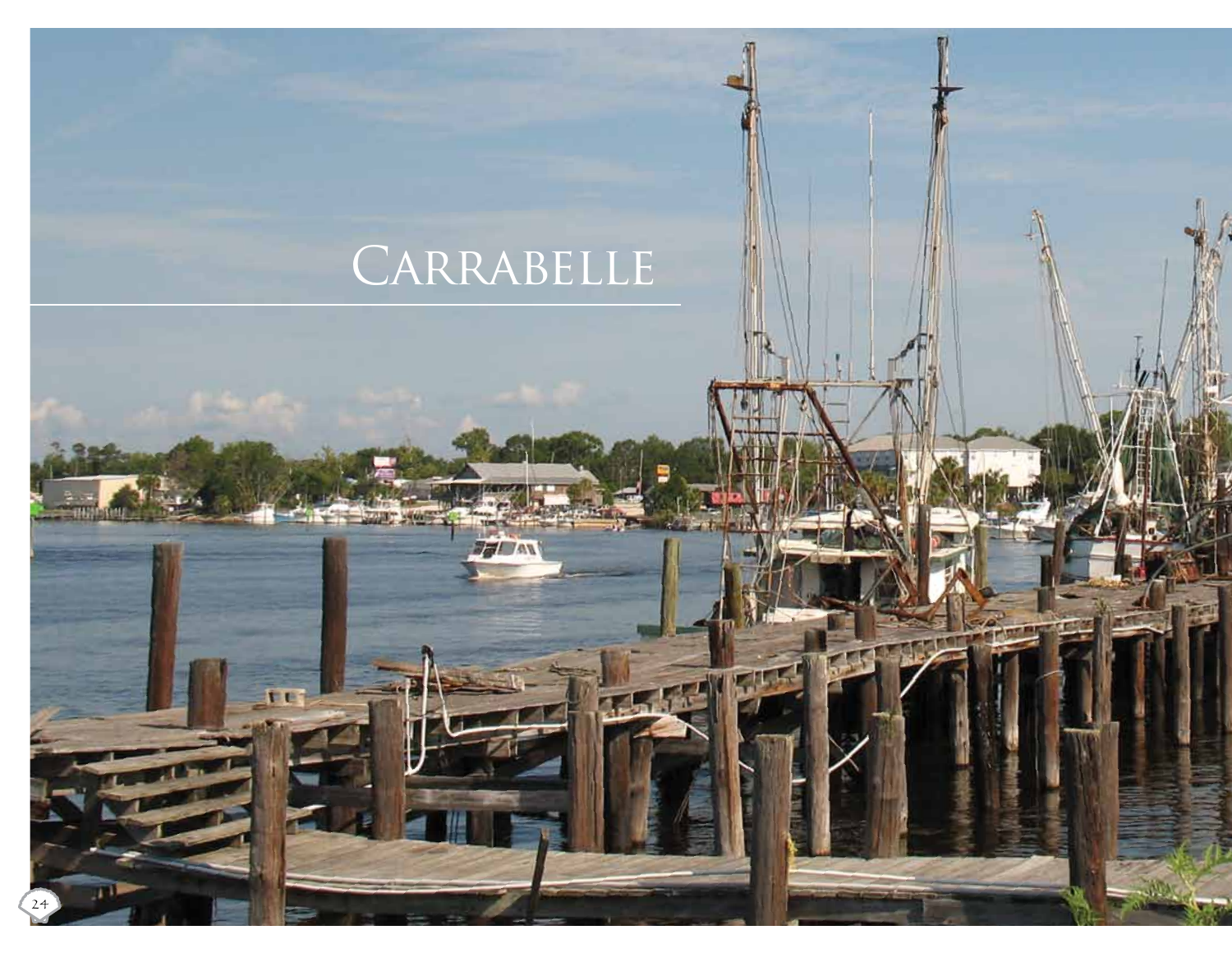# Carrabelle

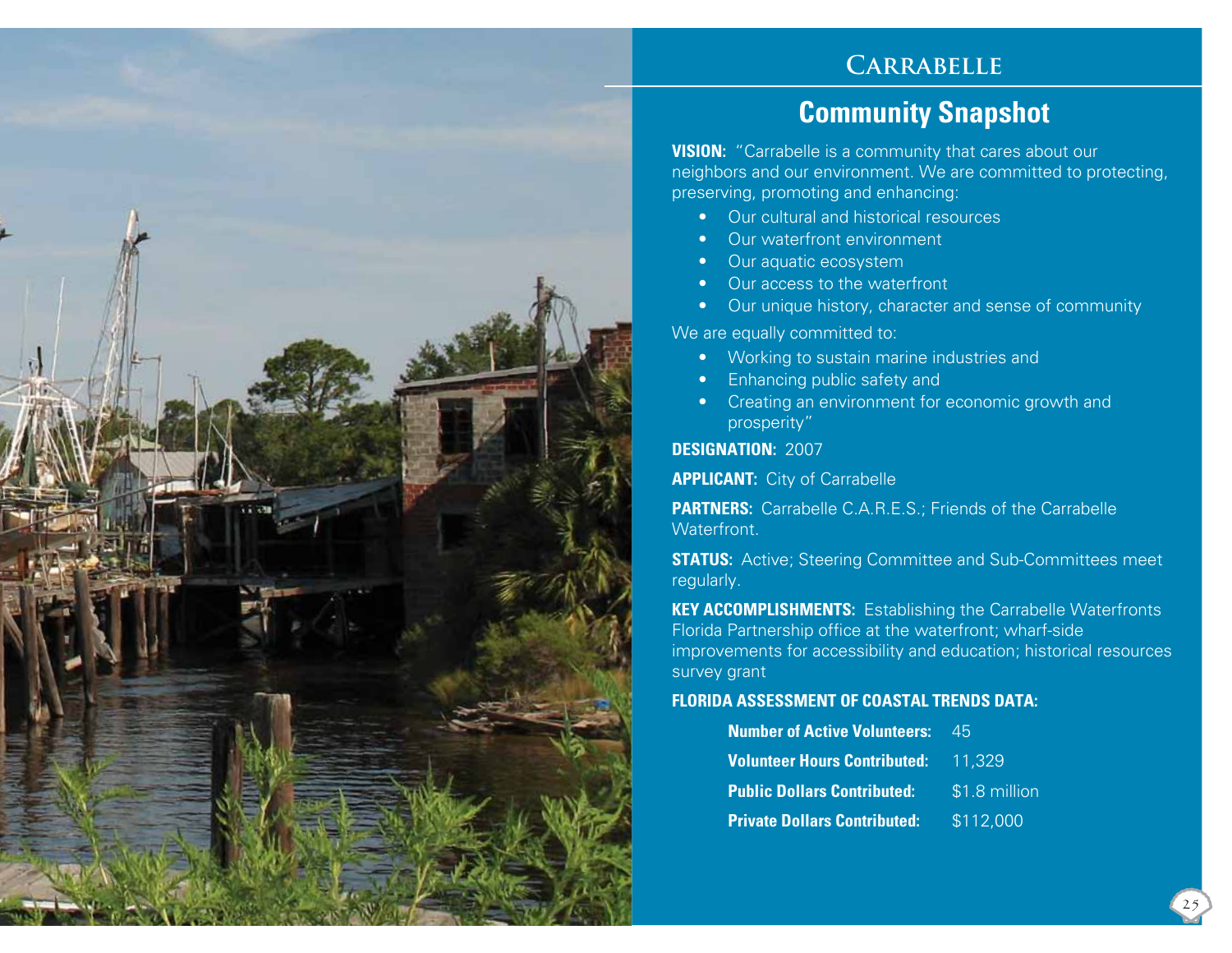### **Carrabelle**

## **Community Snapshot**

**VISION:** "Carrabelle is a community that cares about our neighbors and our environment. We are committed to protecting, preserving, promoting and enhancing:

- Our cultural and historical resources
- Our waterfront environment
- Our aquatic ecosystem
- Our access to the waterfront
- Our unique history, character and sense of community

We are equally committed to:

- Working to sustain marine industries and
- Enhancing public safety and
- Creating an environment for economic growth and prosperity"

#### **DESIGNATION:** 2007

**APPLICANT:** City of Carrabelle

**PARTNERS:** Carrabelle C.A.R.E.S.; Friends of the Carrabelle Waterfront.

**STATUS:** Active; Steering Committee and Sub-Committees meet regularly.

**KEY ACCOMPLISHMENTS:** Establishing the Carrabelle Waterfronts Florida Partnership office at the waterfront; wharf-side improvements for accessibility and education; historical resources survey grant

#### **FLORIDA ASSESSMENT OF COASTAL TRENDS DATA:**

| <b>Number of Active Volunteers:</b>        | 45            |
|--------------------------------------------|---------------|
| <b>Volunteer Hours Contributed:</b> 11,329 |               |
| <b>Public Dollars Contributed:</b>         | \$1.8 million |
| <b>Private Dollars Contributed:</b>        | \$112,000     |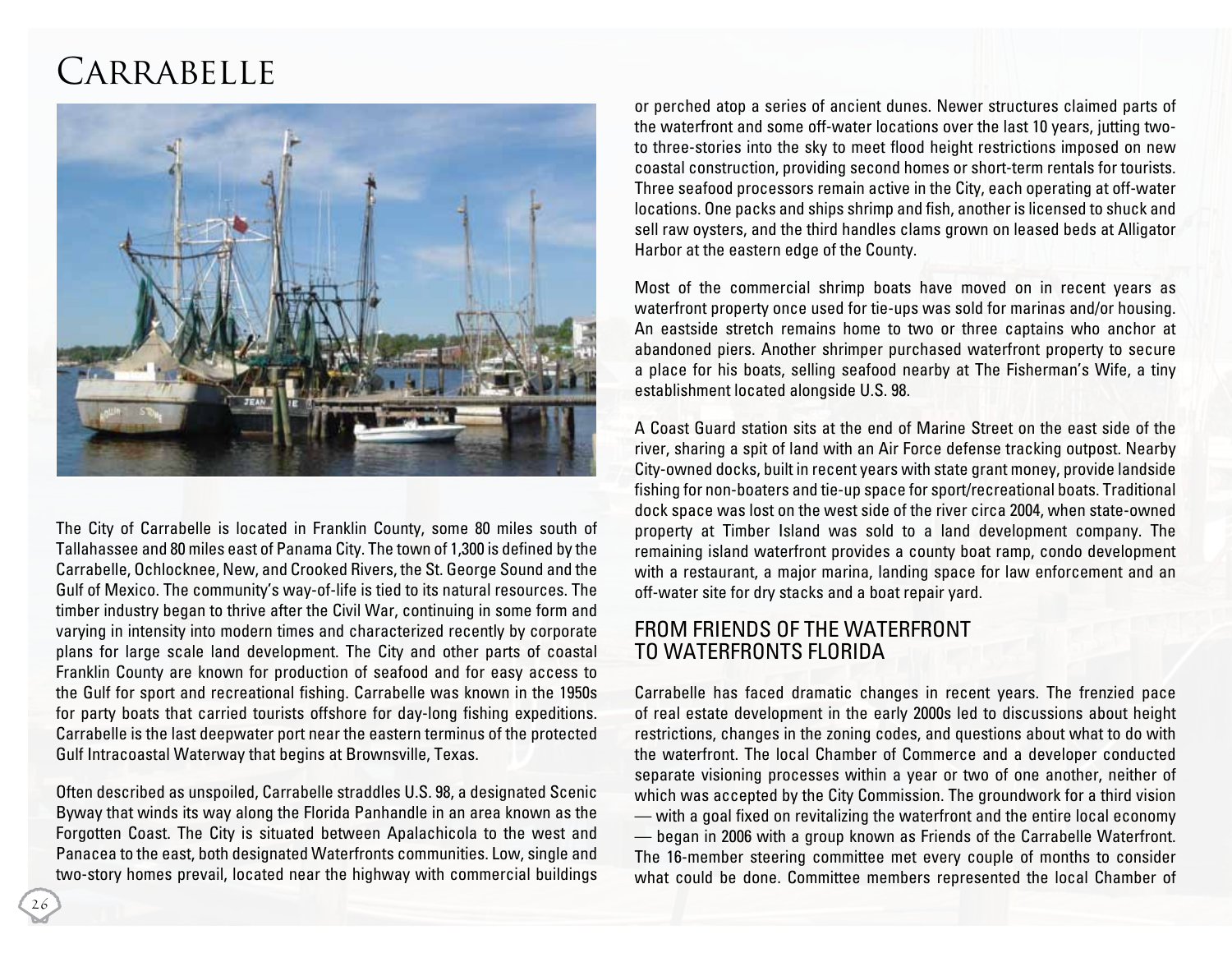# Carrabelle



The City of Carrabelle is located in Franklin County, some 80 miles south of Tallahassee and 80 miles east of Panama City. The town of 1,300 is defined by the Carrabelle, Ochlocknee, New, and Crooked Rivers, the St. George Sound and the Gulf of Mexico. The community's way-of-life is tied to its natural resources. The timber industry began to thrive after the Civil War, continuing in some form and varying in intensity into modern times and characterized recently by corporate plans for large scale land development. The City and other parts of coastal Franklin County are known for production of seafood and for easy access to the Gulf for sport and recreational fishing. Carrabelle was known in the 1950s for party boats that carried tourists offshore for day-long fishing expeditions. Carrabelle is the last deepwater port near the eastern terminus of the protected Gulf Intracoastal Waterway that begins at Brownsville, Texas.

Often described as unspoiled, Carrabelle straddles U.S. 98, a designated Scenic Byway that winds its way along the Florida Panhandle in an area known as the Forgotten Coast. The City is situated between Apalachicola to the west and Panacea to the east, both designated Waterfronts communities. Low, single and two-story homes prevail, located near the highway with commercial buildings

or perched atop a series of ancient dunes. Newer structures claimed parts of the waterfront and some off-water locations over the last 10 years, jutting twoto three-stories into the sky to meet flood height restrictions imposed on new coastal construction, providing second homes or short-term rentals for tourists. Three seafood processors remain active in the City, each operating at off-water locations. One packs and ships shrimp and fish, another is licensed to shuck and sell raw oysters, and the third handles clams grown on leased beds at Alligator Harbor at the eastern edge of the County.

Most of the commercial shrimp boats have moved on in recent years as waterfront property once used for tie-ups was sold for marinas and/or housing. An eastside stretch remains home to two or three captains who anchor at abandoned piers. Another shrimper purchased waterfront property to secure a place for his boats, selling seafood nearby at The Fisherman's Wife, a tiny establishment located alongside U.S. 98.

A Coast Guard station sits at the end of Marine Street on the east side of the river, sharing a spit of land with an Air Force defense tracking outpost. Nearby City-owned docks, built in recent years with state grant money, provide landside fishing for non-boaters and tie-up space for sport/recreational boats. Traditional dock space was lost on the west side of the river circa 2004, when state-owned property at Timber Island was sold to a land development company. The remaining island waterfront provides a county boat ramp, condo development with a restaurant, a major marina, landing space for law enforcement and an off-water site for dry stacks and a boat repair yard.

#### From Friends of the Waterfront to Waterfronts Florida

Carrabelle has faced dramatic changes in recent years. The frenzied pace of real estate development in the early 2000s led to discussions about height restrictions, changes in the zoning codes, and questions about what to do with the waterfront. The local Chamber of Commerce and a developer conducted separate visioning processes within a year or two of one another, neither of which was accepted by the City Commission. The groundwork for a third vision — with a goal fixed on revitalizing the waterfront and the entire local economy — began in 2006 with a group known as Friends of the Carrabelle Waterfront. The 16-member steering committee met every couple of months to consider what could be done. Committee members represented the local Chamber of